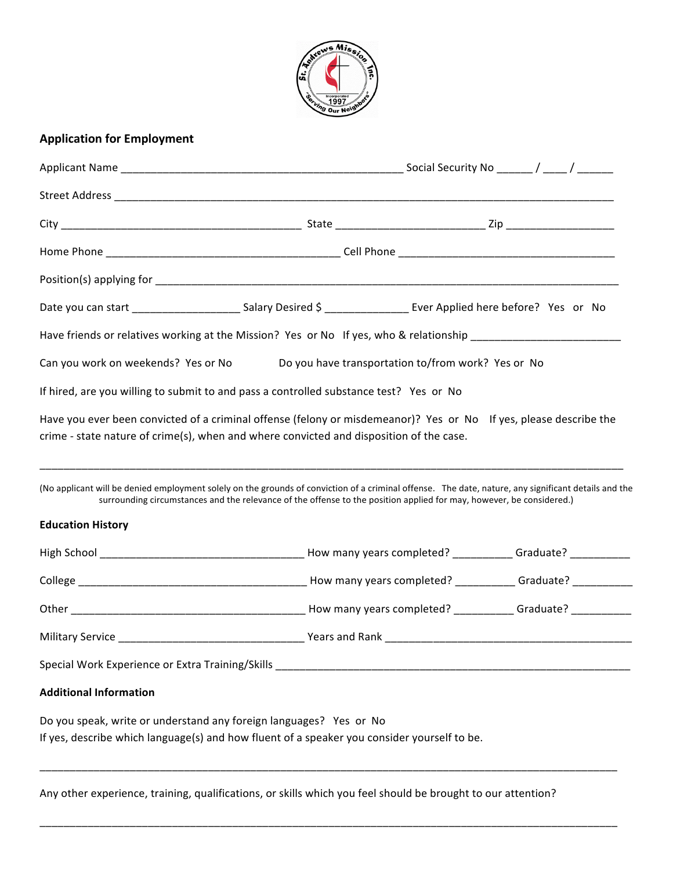

## **Application for Employment**

|                                     | Date you can start ___________________________Salary Desired \$ ___________________ Ever Applied here before? Yes or No                                                                                                                                                      |                                                    |  |  |  |
|-------------------------------------|------------------------------------------------------------------------------------------------------------------------------------------------------------------------------------------------------------------------------------------------------------------------------|----------------------------------------------------|--|--|--|
|                                     | Have friends or relatives working at the Mission? Yes or No If yes, who & relationship _______________________                                                                                                                                                               |                                                    |  |  |  |
| Can you work on weekends? Yes or No |                                                                                                                                                                                                                                                                              | Do you have transportation to/from work? Yes or No |  |  |  |
|                                     | If hired, are you willing to submit to and pass a controlled substance test? Yes or No                                                                                                                                                                                       |                                                    |  |  |  |
|                                     | Have you ever been convicted of a criminal offense (felony or misdemeanor)? Yes or No If yes, please describe the<br>crime - state nature of crime(s), when and where convicted and disposition of the case.                                                                 |                                                    |  |  |  |
| <b>Education History</b>            | (No applicant will be denied employment solely on the grounds of conviction of a criminal offense. The date, nature, any significant details and the<br>surrounding circumstances and the relevance of the offense to the position applied for may, however, be considered.) |                                                    |  |  |  |
|                                     |                                                                                                                                                                                                                                                                              |                                                    |  |  |  |
|                                     |                                                                                                                                                                                                                                                                              |                                                    |  |  |  |
|                                     |                                                                                                                                                                                                                                                                              |                                                    |  |  |  |
|                                     |                                                                                                                                                                                                                                                                              |                                                    |  |  |  |
|                                     | Special Work Experience or Extra Training/Skills <b>Superintensis and Container Students and Containers</b>                                                                                                                                                                  |                                                    |  |  |  |
| <b>Additional Information</b>       |                                                                                                                                                                                                                                                                              |                                                    |  |  |  |
|                                     | Do you speak, write or understand any foreign languages? Yes or No<br>If yes, describe which language(s) and how fluent of a speaker you consider yourself to be.                                                                                                            |                                                    |  |  |  |
|                                     |                                                                                                                                                                                                                                                                              |                                                    |  |  |  |

Any other experience, training, qualifications, or skills which you feel should be brought to our attention?

 $\overline{\phantom{a}}$  , and the contribution of the contribution of the contribution of the contribution of the contribution of the contribution of the contribution of the contribution of the contribution of the contribution of the